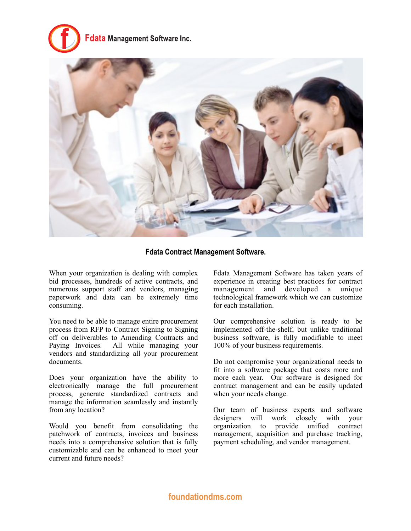



**Fdata Contract Management Software.**

When your organization is dealing with complex bid processes, hundreds of active contracts, and numerous support staff and vendors, managing paperwork and data can be extremely time consuming.

You need to be able to manage entire procurement process from RFP to Contract Signing to Signing off on deliverables to Amending Contracts and Paying Invoices. All while managing your vendors and standardizing all your procurement documents.

Does your organization have the ability to electronically manage the full procurement process, generate standardized contracts and manage the information seamlessly and instantly from any location?

Would you benefit from consolidating the patchwork of contracts, invoices and business needs into a comprehensive solution that is fully customizable and can be enhanced to meet your current and future needs?

Fdata Management Software has taken years of experience in creating best practices for contract management and developed a unique technological framework which we can customize for each installation.

Our comprehensive solution is ready to be implemented off-the-shelf, but unlike traditional business software, is fully modifiable to meet 100% of your business requirements.

Do not compromise your organizational needs to fit into a software package that costs more and more each year. Our software is designed for contract management and can be easily updated when your needs change.

Our team of business experts and software designers will work closely with your organization to provide unified contract management, acquisition and purchase tracking, payment scheduling, and vendor management.